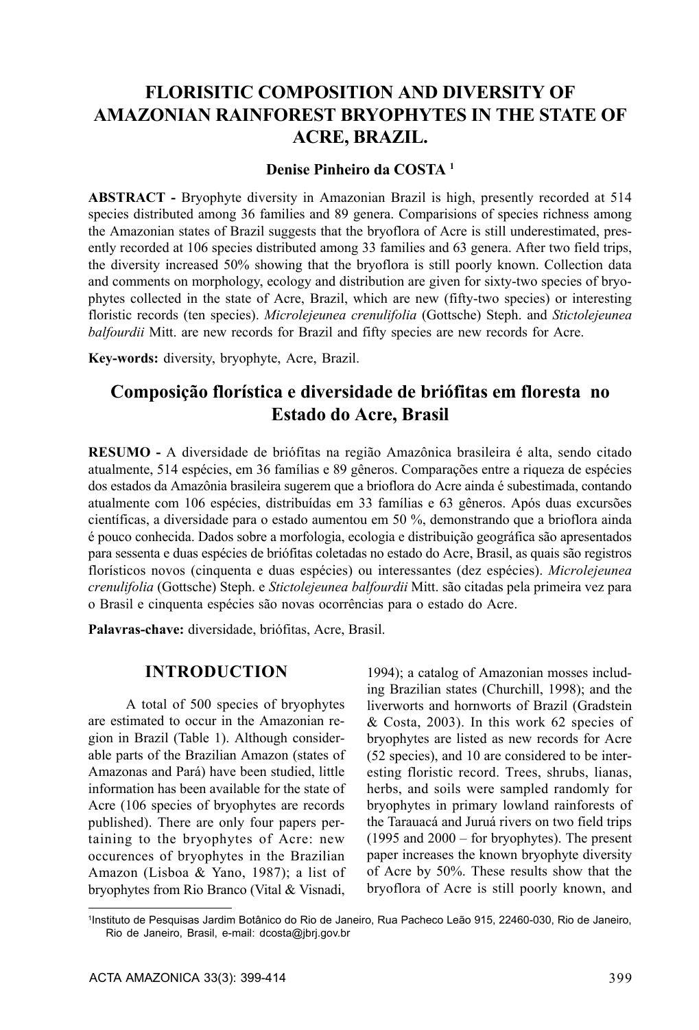# **FLORISITIC COMPOSITION AND DIVERSITY OF AMAZONIAN RAINFOREST BRYOPHYTES IN THE STATE OF ACRE, BRAZIL.**

## **Denise Pinheiro da COSTA 1**

**ABSTRACT -** Bryophyte diversity in Amazonian Brazil is high, presently recorded at 514 species distributed among 36 families and 89 genera. Comparisions of species richness among the Amazonian states of Brazil suggests that the bryoflora of Acre is still underestimated, presently recorded at 106 species distributed among 33 families and 63 genera. After two field trips, the diversity increased 50% showing that the bryoflora is still poorly known. Collection data and comments on morphology, ecology and distribution are given for sixty-two species of bryophytes collected in the state of Acre, Brazil, which are new (fifty-two species) or interesting floristic records (ten species). *Microlejeunea crenulifolia* (Gottsche) Steph. and *Stictolejeunea balfourdii* Mitt. are new records for Brazil and fifty species are new records for Acre.

**Key-words:** diversity, bryophyte, Acre, Brazil.

# **Composição florística e diversidade de briófitas em floresta no Estado do Acre, Brasil**

**RESUMO -** A diversidade de briófitas na região Amazônica brasileira é alta, sendo citado atualmente, 514 espécies, em 36 famílias e 89 gêneros. Comparações entre a riqueza de espécies dos estados da Amazônia brasileira sugerem que a brioflora do Acre ainda é subestimada, contando atualmente com 106 espécies, distribuídas em 33 famílias e 63 gêneros. Após duas excursões científicas, a diversidade para o estado aumentou em 50 %, demonstrando que a brioflora ainda é pouco conhecida. Dados sobre a morfologia, ecologia e distribuição geográfica são apresentados para sessenta e duas espécies de briófitas coletadas no estado do Acre, Brasil, as quais são registros florísticos novos (cinquenta e duas espécies) ou interessantes (dez espécies). *Microlejeunea crenulifolia* (Gottsche) Steph. e *Stictolejeunea balfourdii* Mitt. são citadas pela primeira vez para o Brasil e cinquenta espécies são novas ocorrências para o estado do Acre.

**Palavras-chave:** diversidade, briófitas, Acre, Brasil.

## **INTRODUCTION**

A total of 500 species of bryophytes are estimated to occur in the Amazonian region in Brazil (Table 1). Although considerable parts of the Brazilian Amazon (states of Amazonas and Pará) have been studied, little information has been available for the state of Acre (106 species of bryophytes are records published). There are only four papers pertaining to the bryophytes of Acre: new occurences of bryophytes in the Brazilian Amazon (Lisboa & Yano, 1987); a list of bryophytes from Rio Branco (Vital & Visnadi,

1994); a catalog of Amazonian mosses including Brazilian states (Churchill, 1998); and the liverworts and hornworts of Brazil (Gradstein & Costa, 2003). In this work 62 species of bryophytes are listed as new records for Acre (52 species), and 10 are considered to be interesting floristic record. Trees, shrubs, lianas, herbs, and soils were sampled randomly for bryophytes in primary lowland rainforests of the Tarauacá and Juruá rivers on two field trips (1995 and 2000 – for bryophytes). The present paper increases the known bryophyte diversity of Acre by 50%. These results show that the bryoflora of Acre is still poorly known, and

<sup>1</sup>Instituto de Pesquisas Jardim Botânico do Rio de Janeiro, Rua Pacheco Leão 915, 22460-030, Rio de Janeiro, Rio de Janeiro, Brasil, e-mail: dcosta@jbrj.gov.br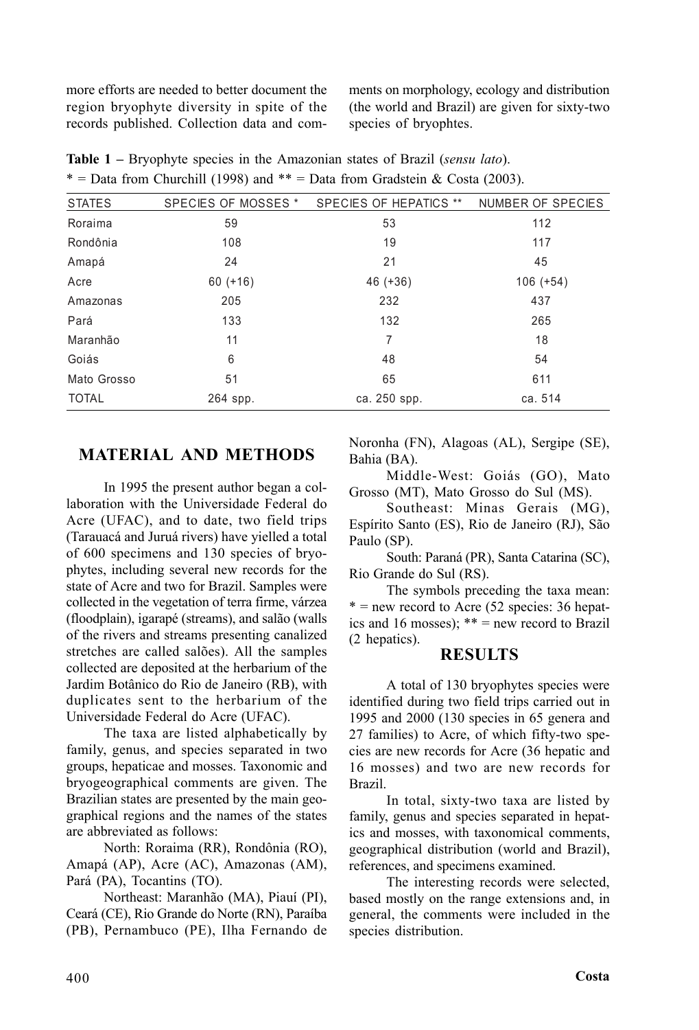more efforts are needed to better document the region bryophyte diversity in spite of the records published. Collection data and comments on morphology, ecology and distribution (the world and Brazil) are given for sixty-two species of bryophtes.

| <b>STATES</b> | SPECIES OF MOSSES * | SPECIES OF HEPATICS ** | NUMBER OF SPECIES |
|---------------|---------------------|------------------------|-------------------|
| Roraima       | 59                  | 53                     | 112               |
| Rondônia      | 108                 | 19                     | 117               |
| Amapá         | 24                  | 21                     | 45                |
| Acre          | $60 (+16)$          | $46 (+36)$             | $106 (+54)$       |
| Amazonas      | 205                 | 232                    | 437               |
| Pará          | 133                 | 132                    | 265               |
| Maranhão      | 11                  | 7                      | 18                |
| Goiás         | 6                   | 48                     | 54                |
| Mato Grosso   | 51                  | 65                     | 611               |
| <b>TOTAL</b>  | 264 spp.            | ca. 250 spp.           | ca. 514           |

**Table 1 –** Bryophyte species in the Amazonian states of Brazil (*sensu lato*). \* = Data from Churchill (1998) and \*\* = Data from Gradstein & Costa (2003).

# **MATERIAL AND METHODS**

In 1995 the present author began a collaboration with the Universidade Federal do Acre (UFAC), and to date, two field trips (Tarauacá and Juruá rivers) have yielled a total of 600 specimens and 130 species of bryophytes, including several new records for the state of Acre and two for Brazil. Samples were collected in the vegetation of terra firme, várzea (floodplain), igarapé (streams), and salão (walls of the rivers and streams presenting canalized stretches are called salões). All the samples collected are deposited at the herbarium of the Jardim Botânico do Rio de Janeiro (RB), with duplicates sent to the herbarium of the Universidade Federal do Acre (UFAC).

The taxa are listed alphabetically by family, genus, and species separated in two groups, hepaticae and mosses. Taxonomic and bryogeographical comments are given. The Brazilian states are presented by the main geographical regions and the names of the states are abbreviated as follows:

North: Roraima (RR), Rondônia (RO), Amapá (AP), Acre (AC), Amazonas (AM), Pará (PA), Tocantins (TO).

Northeast: Maranhão (MA), Piauí (PI), Ceará (CE), Rio Grande do Norte (RN), Paraíba (PB), Pernambuco (PE), Ilha Fernando de Noronha (FN), Alagoas (AL), Sergipe (SE), Bahia (BA).

Middle-West: Goiás (GO), Mato Grosso (MT), Mato Grosso do Sul (MS).

Southeast: Minas Gerais (MG), Espírito Santo (ES), Rio de Janeiro (RJ), São Paulo (SP).

South: Paraná (PR), Santa Catarina (SC), Rio Grande do Sul (RS).

The symbols preceding the taxa mean:  $*$  = new record to Acre (52 species: 36 hepatics and 16 mosses); \*\* = new record to Brazil (2 hepatics).

## **RESULTS**

A total of 130 bryophytes species were identified during two field trips carried out in 1995 and 2000 (130 species in 65 genera and 27 families) to Acre, of which fifty-two species are new records for Acre (36 hepatic and 16 mosses) and two are new records for Brazil.

In total, sixty-two taxa are listed by family, genus and species separated in hepatics and mosses, with taxonomical comments, geographical distribution (world and Brazil), references, and specimens examined.

The interesting records were selected, based mostly on the range extensions and, in general, the comments were included in the species distribution.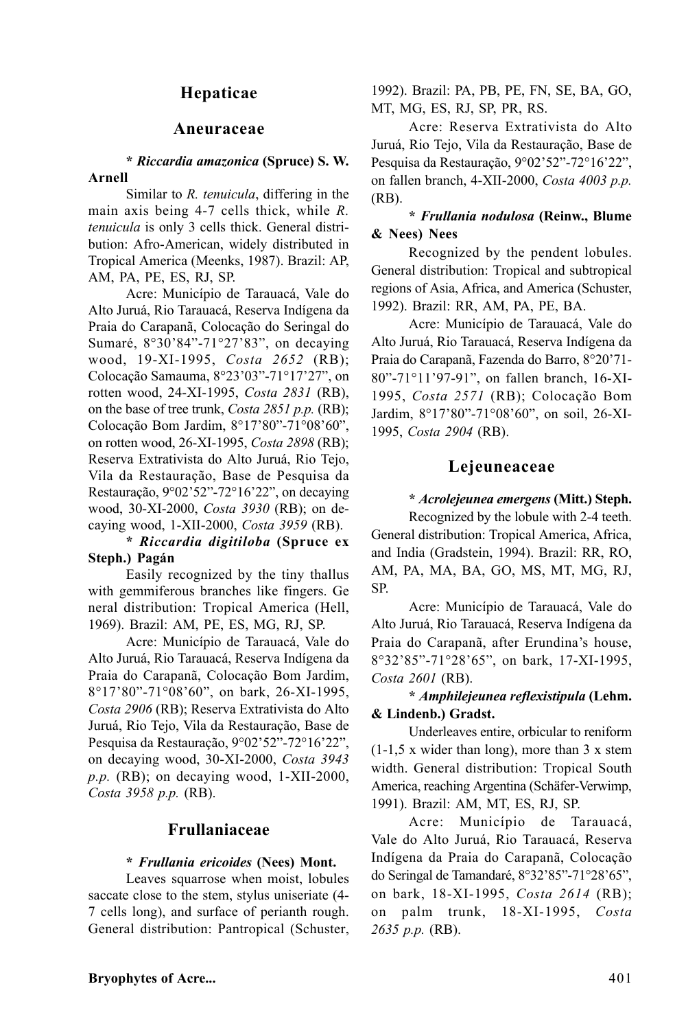## **Hepaticae**

### **Aneuraceae**

#### **\*** *Riccardia amazonica* **(Spruce) S. W. Arnell**

Similar to *R. tenuicula*, differing in the main axis being 4-7 cells thick, while *R. tenuicula* is only 3 cells thick. General distribution: Afro-American, widely distributed in Tropical America (Meenks, 1987). Brazil: AP, AM, PA, PE, ES, RJ, SP.

Acre: Município de Tarauacá, Vale do Alto Juruá, Rio Tarauacá, Reserva Indígena da Praia do Carapanã, Colocação do Seringal do Sumaré, 8°30'84"-71°27'83", on decaying wood, 19-XI-1995, *Costa 2652* (RB); Colocação Samauma, 8°23'03"-71°17'27", on rotten wood, 24-XI-1995, *Costa 2831* (RB), on the base of tree trunk, *Costa 2851 p.p.* (RB); Colocação Bom Jardim, 8°17'80"-71°08'60", on rotten wood, 26-XI-1995, *Costa 2898* (RB); Reserva Extrativista do Alto Juruá, Rio Tejo, Vila da Restauração, Base de Pesquisa da Restauração, 9°02'52"-72°16'22", on decaying wood, 30-XI-2000, *Costa 3930* (RB); on decaying wood, 1-XII-2000, *Costa 3959* (RB).

## **\*** *Riccardia digitiloba* **(Spruce ex Steph.) Pagán**

Easily recognized by the tiny thallus with gemmiferous branches like fingers. Ge neral distribution: Tropical America (Hell, 1969). Brazil: AM, PE, ES, MG, RJ, SP.

Acre: Município de Tarauacá, Vale do Alto Juruá, Rio Tarauacá, Reserva Indígena da Praia do Carapanã, Colocação Bom Jardim, 8°17'80"-71°08'60", on bark, 26-XI-1995, *Costa 2906* (RB); Reserva Extrativista do Alto Juruá, Rio Tejo, Vila da Restauração, Base de Pesquisa da Restauração, 9°02'52"-72°16'22", on decaying wood, 30-XI-2000, *Costa 3943 p.p.* (RB); on decaying wood, 1-XII-2000, *Costa 3958 p.p.* (RB).

## **Frullaniaceae**

#### **\*** *Frullania ericoides* **(Nees) Mont.**

Leaves squarrose when moist, lobules saccate close to the stem, stylus uniseriate (4- 7 cells long), and surface of perianth rough. General distribution: Pantropical (Schuster,

1992). Brazil: PA, PB, PE, FN, SE, BA, GO, MT, MG, ES, RJ, SP, PR, RS.

Acre: Reserva Extrativista do Alto Juruá, Rio Tejo, Vila da Restauração, Base de Pesquisa da Restauração, 9°02'52"-72°16'22", on fallen branch, 4-XII-2000, *Costa 4003 p.p.* (RB).

### **\*** *Frullania nodulosa* **(Reinw., Blume & Nees) Nees**

Recognized by the pendent lobules. General distribution: Tropical and subtropical regions of Asia, Africa, and America (Schuster, 1992). Brazil: RR, AM, PA, PE, BA.

Acre: Município de Tarauacá, Vale do Alto Juruá, Rio Tarauacá, Reserva Indígena da Praia do Carapanã, Fazenda do Barro, 8°20'71- 80"-71°11'97-91", on fallen branch, 16-XI-1995, *Costa 2571* (RB); Colocação Bom Jardim, 8°17'80"-71°08'60", on soil, 26-XI-1995, *Costa 2904* (RB).

## **Lejeuneaceae**

### **\*** *Acrolejeunea emergens* **(Mitt.) Steph.**

Recognized by the lobule with 2-4 teeth. General distribution: Tropical America, Africa, and India (Gradstein, 1994). Brazil: RR, RO, AM, PA, MA, BA, GO, MS, MT, MG, RJ, SP.

Acre: Município de Tarauacá, Vale do Alto Juruá, Rio Tarauacá, Reserva Indígena da Praia do Carapanã, after Erundina's house, 8°32'85"-71°28'65", on bark, 17-XI-1995, *Costa 2601* (RB).

**\*** *Amphilejeunea reflexistipula* **(Lehm. & Lindenb.) Gradst.**

Underleaves entire, orbicular to reniform  $(1-1,5 \times \text{wider than long})$ , more than 3 x stem width. General distribution: Tropical South America, reaching Argentina (Schäfer-Verwimp, 1991). Brazil: AM, MT, ES, RJ, SP.

Acre: Município de Tarauacá, Vale do Alto Juruá, Rio Tarauacá, Reserva Indígena da Praia do Carapanã, Colocação do Seringal de Tamandaré, 8°32'85"-71°28'65", on bark, 18-XI-1995, *Costa 2614* (RB); on palm trunk, 18-XI-1995, *Costa 2635 p.p.* (RB).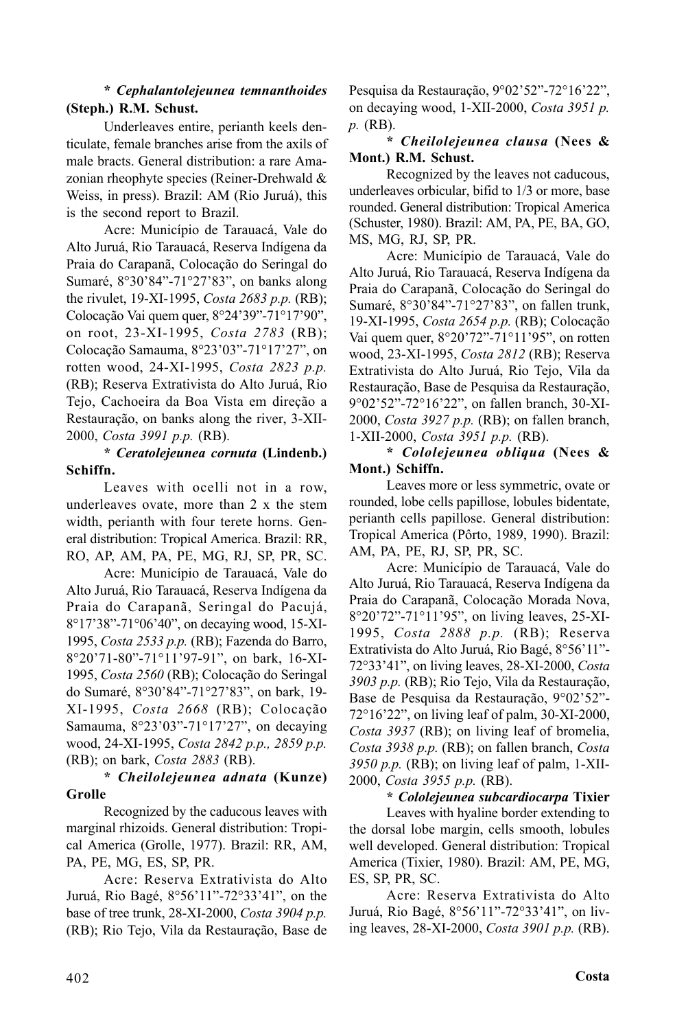## **\*** *Cephalantolejeunea temnanthoides* **(Steph.) R.M. Schust.**

Underleaves entire, perianth keels denticulate, female branches arise from the axils of male bracts. General distribution: a rare Amazonian rheophyte species (Reiner-Drehwald & Weiss, in press). Brazil: AM (Rio Juruá), this is the second report to Brazil.

Acre: Município de Tarauacá, Vale do Alto Juruá, Rio Tarauacá, Reserva Indígena da Praia do Carapanã, Colocação do Seringal do Sumaré, 8°30'84"-71°27'83", on banks along the rivulet, 19-XI-1995, *Costa 2683 p.p.* (RB); Colocação Vai quem quer, 8°24'39"-71°17'90", on root, 23-XI-1995, *Costa 2783* (RB); Colocação Samauma, 8°23'03"-71°17'27", on rotten wood, 24-XI-1995, *Costa 2823 p.p.* (RB); Reserva Extrativista do Alto Juruá, Rio Tejo, Cachoeira da Boa Vista em direção a Restauração, on banks along the river, 3-XII-2000, *Costa 3991 p.p.* (RB).

## **\*** *Ceratolejeunea cornuta* **(Lindenb.) Schiffn.**

Leaves with ocelli not in a row. underleaves ovate, more than 2 x the stem width, perianth with four terete horns. General distribution: Tropical America. Brazil: RR, RO, AP, AM, PA, PE, MG, RJ, SP, PR, SC.

Acre: Município de Tarauacá, Vale do Alto Juruá, Rio Tarauacá, Reserva Indígena da Praia do Carapanã, Seringal do Pacujá, 8°17'38"-71°06'40", on decaying wood, 15-XI-1995, *Costa 2533 p.p.* (RB); Fazenda do Barro, 8°20'71-80"-71°11'97-91", on bark, 16-XI-1995, *Costa 2560* (RB); Colocação do Seringal do Sumaré, 8°30'84"-71°27'83", on bark, 19- XI-1995, *Costa 2668* (RB); Colocação Samauma, 8°23'03"-71°17'27", on decaying wood, 24-XI-1995, *Costa 2842 p.p., 2859 p.p.* (RB); on bark, *Costa 2883* (RB).

### **\*** *Cheilolejeunea adnata* **(Kunze) Grolle**

Recognized by the caducous leaves with marginal rhizoids. General distribution: Tropical America (Grolle, 1977). Brazil: RR, AM, PA, PE, MG, ES, SP, PR.

Acre: Reserva Extrativista do Alto Juruá, Rio Bagé, 8°56'11"-72°33'41", on the base of tree trunk, 28-XI-2000, *Costa 3904 p.p.* (RB); Rio Tejo, Vila da Restauração, Base de

Pesquisa da Restauração, 9°02'52"-72°16'22", on decaying wood, 1-XII-2000, *Costa 3951 p. p.* (RB).

## **\*** *Cheilolejeunea clausa* **(Nees & Mont.) R.M. Schust.**

Recognized by the leaves not caducous, underleaves orbicular, bifid to 1/3 or more, base rounded. General distribution: Tropical America (Schuster, 1980). Brazil: AM, PA, PE, BA, GO, MS, MG, RJ, SP, PR.

Acre: Município de Tarauacá, Vale do Alto Juruá, Rio Tarauacá, Reserva Indígena da Praia do Carapanã, Colocação do Seringal do Sumaré, 8°30'84"-71°27'83", on fallen trunk, 19-XI-1995, *Costa 2654 p.p.* (RB); Colocação Vai quem quer, 8°20'72"-71°11'95", on rotten wood, 23-XI-1995, *Costa 2812* (RB); Reserva Extrativista do Alto Juruá, Rio Tejo, Vila da Restauração, Base de Pesquisa da Restauração, 9°02'52"-72°16'22", on fallen branch, 30-XI-2000, *Costa 3927 p.p.* (RB); on fallen branch, 1-XII-2000, *Costa 3951 p.p.* (RB).

## **\*** *Cololejeunea obliqua* **(Nees & Mont.) Schiffn.**

Leaves more or less symmetric, ovate or rounded, lobe cells papillose, lobules bidentate, perianth cells papillose. General distribution: Tropical America (Pôrto, 1989, 1990). Brazil: AM, PA, PE, RJ, SP, PR, SC.

Acre: Município de Tarauacá, Vale do Alto Juruá, Rio Tarauacá, Reserva Indígena da Praia do Carapanã, Colocação Morada Nova, 8°20'72"-71°11'95", on living leaves, 25-XI-1995, *Costa 2888 p.p.* (RB); Reserva Extrativista do Alto Juruá, Rio Bagé, 8°56'11"- 72°33'41", on living leaves, 28-XI-2000, *Costa 3903 p.p.* (RB); Rio Tejo, Vila da Restauração, Base de Pesquisa da Restauração, 9°02'52"- 72°16'22", on living leaf of palm, 30-XI-2000, *Costa 3937* (RB); on living leaf of bromelia, *Costa 3938 p.p.* (RB); on fallen branch, *Costa 3950 p.p.* (RB); on living leaf of palm, 1-XII-2000, *Costa 3955 p.p.* (RB).

## **\*** *Cololejeunea subcardiocarpa* **Tixier**

Leaves with hyaline border extending to the dorsal lobe margin, cells smooth, lobules well developed. General distribution: Tropical America (Tixier, 1980). Brazil: AM, PE, MG, ES, SP, PR, SC.

Acre: Reserva Extrativista do Alto Juruá, Rio Bagé, 8°56'11"-72°33'41", on living leaves, 28-XI-2000, *Costa 3901 p.p.* (RB).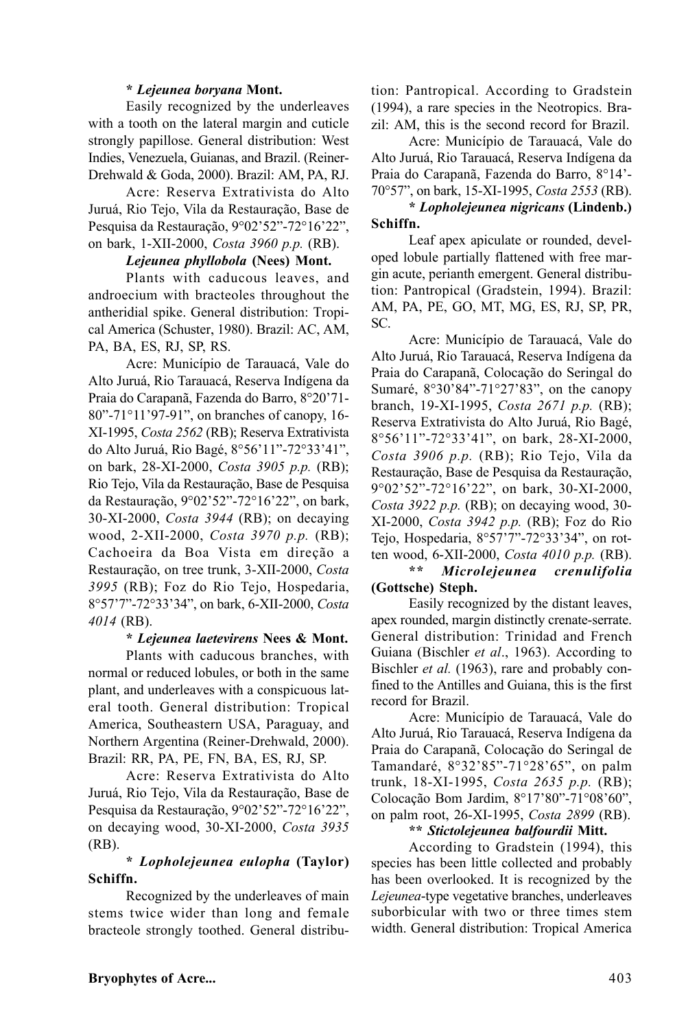### **\*** *Lejeunea boryana* **Mont.**

Easily recognized by the underleaves with a tooth on the lateral margin and cuticle strongly papillose. General distribution: West Indies, Venezuela, Guianas, and Brazil. (Reiner-Drehwald & Goda, 2000). Brazil: AM, PA, RJ.

Acre: Reserva Extrativista do Alto Juruá, Rio Tejo, Vila da Restauração, Base de Pesquisa da Restauração, 9°02'52"-72°16'22", on bark, 1-XII-2000, *Costa 3960 p.p.* (RB).

### *Lejeunea phyllobola* **(Nees) Mont.**

Plants with caducous leaves, and androecium with bracteoles throughout the antheridial spike. General distribution: Tropical America (Schuster, 1980). Brazil: AC, AM, PA, BA, ES, RJ, SP, RS.

Acre: Município de Tarauacá, Vale do Alto Juruá, Rio Tarauacá, Reserva Indígena da Praia do Carapanã, Fazenda do Barro, 8°20'71- 80"-71°11'97-91", on branches of canopy, 16- XI-1995, *Costa 2562* (RB); Reserva Extrativista do Alto Juruá, Rio Bagé, 8°56'11"-72°33'41", on bark, 28-XI-2000, *Costa 3905 p.p.* (RB); Rio Tejo, Vila da Restauração, Base de Pesquisa da Restauração, 9°02'52"-72°16'22", on bark, 30-XI-2000, *Costa 3944* (RB); on decaying wood, 2-XII-2000, *Costa 3970 p.p.* (RB); Cachoeira da Boa Vista em direção a Restauração, on tree trunk, 3-XII-2000, *Costa 3995* (RB); Foz do Rio Tejo, Hospedaria, 8°57'7"-72°33'34", on bark, 6-XII-2000, *Costa 4014* (RB).

### **\*** *Lejeunea laetevirens* **Nees & Mont.**

Plants with caducous branches, with normal or reduced lobules, or both in the same plant, and underleaves with a conspicuous lateral tooth. General distribution: Tropical America, Southeastern USA, Paraguay, and Northern Argentina (Reiner-Drehwald, 2000). Brazil: RR, PA, PE, FN, BA, ES, RJ, SP.

Acre: Reserva Extrativista do Alto Juruá, Rio Tejo, Vila da Restauração, Base de Pesquisa da Restauração, 9°02'52"-72°16'22", on decaying wood, 30-XI-2000, *Costa 3935* (RB).

### **\*** *Lopholejeunea eulopha* **(Taylor) Schiffn.**

Recognized by the underleaves of main stems twice wider than long and female bracteole strongly toothed. General distribution: Pantropical. According to Gradstein (1994), a rare species in the Neotropics. Brazil: AM, this is the second record for Brazil.

Acre: Município de Tarauacá, Vale do Alto Juruá, Rio Tarauacá, Reserva Indígena da Praia do Carapanã, Fazenda do Barro, 8°14'- 70°57", on bark, 15-XI-1995, *Costa 2553* (RB).

## **\*** *Lopholejeunea nigricans* **(Lindenb.) Schiffn.**

Leaf apex apiculate or rounded, developed lobule partially flattened with free margin acute, perianth emergent. General distribution: Pantropical (Gradstein, 1994). Brazil: AM, PA, PE, GO, MT, MG, ES, RJ, SP, PR, SC.

Acre: Município de Tarauacá, Vale do Alto Juruá, Rio Tarauacá, Reserva Indígena da Praia do Carapanã, Colocação do Seringal do Sumaré, 8°30'84"-71°27'83", on the canopy branch, 19-XI-1995, *Costa 2671 p.p.* (RB); Reserva Extrativista do Alto Juruá, Rio Bagé, 8°56'11"-72°33'41", on bark, 28-XI-2000, *Costa 3906 p.p.* (RB); Rio Tejo, Vila da Restauração, Base de Pesquisa da Restauração, 9°02'52"-72°16'22", on bark, 30-XI-2000, *Costa 3922 p.p.* (RB); on decaying wood, 30- XI-2000, *Costa 3942 p.p.* (RB); Foz do Rio Tejo, Hospedaria, 8°57'7"-72°33'34", on rotten wood, 6-XII-2000, *Costa 4010 p.p.* (RB).

### **\*\*** *Microlejeunea crenulifolia* **(Gottsche) Steph.**

Easily recognized by the distant leaves, apex rounded, margin distinctly crenate-serrate. General distribution: Trinidad and French Guiana (Bischler *et al*., 1963). According to Bischler *et al.* (1963), rare and probably confined to the Antilles and Guiana, this is the first record for Brazil.

Acre: Município de Tarauacá, Vale do Alto Juruá, Rio Tarauacá, Reserva Indígena da Praia do Carapanã, Colocação do Seringal de Tamandaré, 8°32'85"-71°28'65", on palm trunk, 18-XI-1995, *Costa 2635 p.p.* (RB); Colocação Bom Jardim, 8°17'80"-71°08'60", on palm root, 26-XI-1995, *Costa 2899* (RB).

## **\*\*** *Stictolejeunea balfourdii* **Mitt.**

According to Gradstein (1994), this species has been little collected and probably has been overlooked. It is recognized by the *Lejeunea*-type vegetative branches, underleaves suborbicular with two or three times stem width. General distribution: Tropical America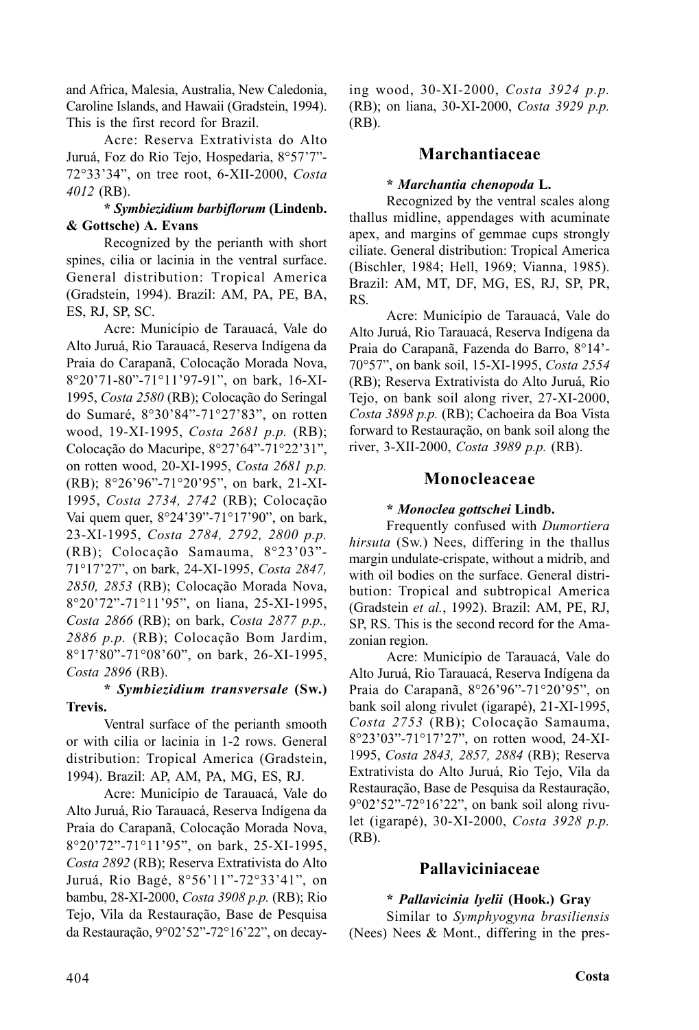and Africa, Malesia, Australia, New Caledonia, Caroline Islands, and Hawaii (Gradstein, 1994). This is the first record for Brazil.

Acre: Reserva Extrativista do Alto Juruá, Foz do Rio Tejo, Hospedaria, 8°57'7"- 72°33'34", on tree root, 6-XII-2000, *Costa 4012* (RB).

### **\*** *Symbiezidium barbiflorum* **(Lindenb. & Gottsche) A. Evans**

Recognized by the perianth with short spines, cilia or lacinia in the ventral surface. General distribution: Tropical America (Gradstein, 1994). Brazil: AM, PA, PE, BA, ES, RJ, SP, SC.

Acre: Município de Tarauacá, Vale do Alto Juruá, Rio Tarauacá, Reserva Indígena da Praia do Carapanã, Colocação Morada Nova, 8°20'71-80"-71°11'97-91", on bark, 16-XI-1995, *Costa 2580* (RB); Colocação do Seringal do Sumaré, 8°30'84"-71°27'83", on rotten wood, 19-XI-1995, *Costa 2681 p.p.* (RB); Colocação do Macuripe, 8°27'64"-71°22'31", on rotten wood, 20-XI-1995, *Costa 2681 p.p.* (RB); 8°26'96"-71°20'95", on bark, 21-XI-1995, *Costa 2734, 2742* (RB); Colocação Vai quem quer, 8°24'39"-71°17'90", on bark, 23-XI-1995, *Costa 2784, 2792, 2800 p.p.* (RB); Colocação Samauma, 8°23'03"- 71°17'27", on bark, 24-XI-1995, *Costa 2847, 2850, 2853* (RB); Colocação Morada Nova, 8°20'72"-71°11'95", on liana, 25-XI-1995, *Costa 2866* (RB); on bark, *Costa 2877 p.p., 2886 p.p.* (RB); Colocação Bom Jardim, 8°17'80"-71°08'60", on bark, 26-XI-1995, *Costa 2896* (RB).

### **\*** *Symbiezidium transversale* **(Sw.) Trevis.**

Ventral surface of the perianth smooth or with cilia or lacinia in 1-2 rows. General distribution: Tropical America (Gradstein, 1994). Brazil: AP, AM, PA, MG, ES, RJ.

Acre: Município de Tarauacá, Vale do Alto Juruá, Rio Tarauacá, Reserva Indígena da Praia do Carapanã, Colocação Morada Nova, 8°20'72"-71°11'95", on bark, 25-XI-1995, *Costa 2892* (RB); Reserva Extrativista do Alto Juruá, Rio Bagé, 8°56'11"-72°33'41", on bambu, 28-XI-2000, *Costa 3908 p.p.* (RB); Rio Tejo, Vila da Restauração, Base de Pesquisa da Restauração, 9°02'52"-72°16'22", on decaying wood, 30-XI-2000, *Costa 3924 p.p.* (RB); on liana, 30-XI-2000, *Costa 3929 p.p.* (RB).

## **Marchantiaceae**

#### **\*** *Marchantia chenopoda* **L.**

Recognized by the ventral scales along thallus midline, appendages with acuminate apex, and margins of gemmae cups strongly ciliate. General distribution: Tropical America (Bischler, 1984; Hell, 1969; Vianna, 1985). Brazil: AM, MT, DF, MG, ES, RJ, SP, PR, RS.

Acre: Município de Tarauacá, Vale do Alto Juruá, Rio Tarauacá, Reserva Indígena da Praia do Carapanã, Fazenda do Barro, 8°14'- 70°57", on bank soil, 15-XI-1995, *Costa 2554* (RB); Reserva Extrativista do Alto Juruá, Rio Tejo, on bank soil along river, 27-XI-2000, *Costa 3898 p.p.* (RB); Cachoeira da Boa Vista forward to Restauração, on bank soil along the river, 3-XII-2000, *Costa 3989 p.p.* (RB).

### **Monocleaceae**

### **\*** *Monoclea gottschei* **Lindb.**

Frequently confused with *Dumortiera hirsuta* (Sw.) Nees, differing in the thallus margin undulate-crispate, without a midrib, and with oil bodies on the surface. General distribution: Tropical and subtropical America (Gradstein *et al.*, 1992). Brazil: AM, PE, RJ, SP, RS. This is the second record for the Amazonian region.

Acre: Município de Tarauacá, Vale do Alto Juruá, Rio Tarauacá, Reserva Indígena da Praia do Carapanã, 8°26'96"-71°20'95", on bank soil along rivulet (igarapé), 21-XI-1995, *Costa 2753* (RB); Colocação Samauma, 8°23'03"-71°17'27", on rotten wood, 24-XI-1995, *Costa 2843, 2857, 2884* (RB); Reserva Extrativista do Alto Juruá, Rio Tejo, Vila da Restauração, Base de Pesquisa da Restauração, 9°02'52"-72°16'22", on bank soil along rivulet (igarapé), 30-XI-2000, *Costa 3928 p.p.* (RB).

## **Pallaviciniaceae**

# **\*** *Pallavicinia lyelii* **(Hook.) Gray**

Similar to *Symphyogyna brasiliensis* (Nees) Nees & Mont., differing in the pres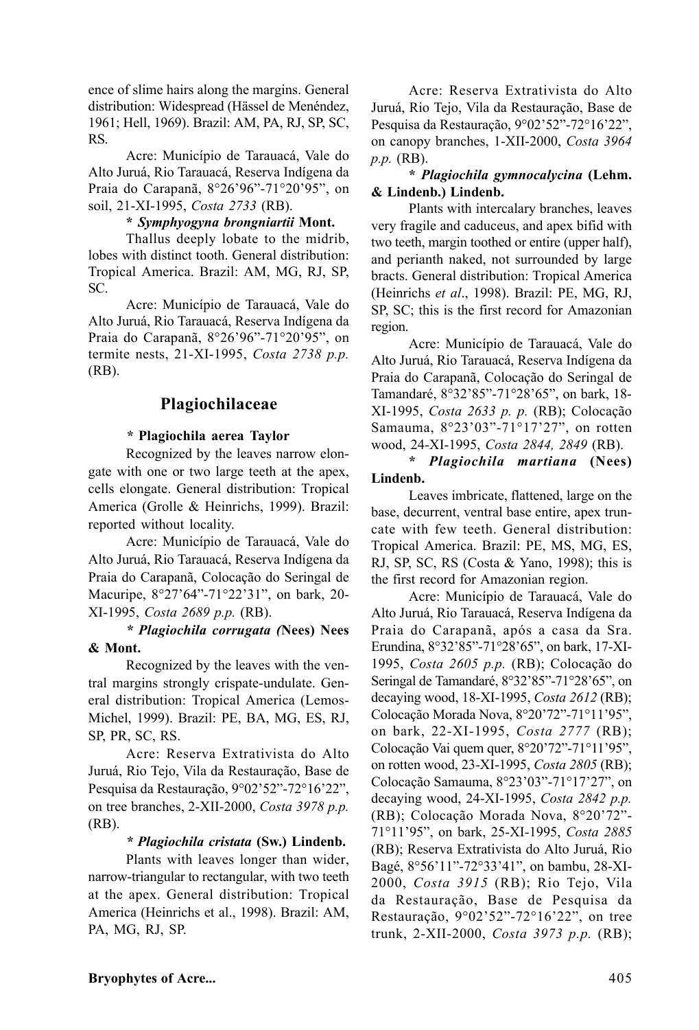ence of slime hairs along the margins. General distribution: Widespread (Hässel de Menéndez, 1961; Hell, 1969). Brazil: AM, PA, RJ, SP, SC, RS.

Acre: Município de Tarauacá, Vale do Alto Juruá, Rio Tarauacá, Reserva Indígena da Praia do Carapanã, 8°26'96"-71°20'95", on soil, 21-XI-1995, *Costa 2733* (RB).

### **\*** *Symphyogyna brongniartii* **Mont.**

Thallus deeply lobate to the midrib, lobes with distinct tooth. General distribution: Tropical America. Brazil: AM, MG, RJ, SP, SC.

Acre: Município de Tarauacá, Vale do Alto Juruá, Rio Tarauacá, Reserva Indígena da Praia do Carapanã, 8°26'96"-71°20'95", on termite nests, 21-XI-1995, *Costa 2738 p.p.* (RB).

## **Plagiochilaceae**

### *\** **Plagiochila aerea Taylor**

Recognized by the leaves narrow elongate with one or two large teeth at the apex, cells elongate. General distribution: Tropical America (Grolle & Heinrichs, 1999). Brazil: reported without locality.

Acre: Município de Tarauacá, Vale do Alto Juruá, Rio Tarauacá, Reserva Indígena da Praia do Carapanã, Colocação do Seringal de Macuripe, 8°27'64"-71°22'31", on bark, 20- XI-1995, *Costa 2689 p.p.* (RB).

*\* Plagiochila corrugata (***Nees) Nees & Mont.**

Recognized by the leaves with the ventral margins strongly crispate-undulate. General distribution: Tropical America (Lemos-Michel, 1999). Brazil: PE, BA, MG, ES, RJ, SP, PR, SC, RS.

Acre: Reserva Extrativista do Alto Juruá, Rio Tejo, Vila da Restauração, Base de Pesquisa da Restauração, 9°02'52"-72°16'22", on tree branches, 2-XII-2000, *Costa 3978 p.p.* (RB).

#### *\* Plagiochila cristata* **(Sw.) Lindenb.**

Plants with leaves longer than wider, narrow-triangular to rectangular, with two teeth at the apex. General distribution: Tropical America (Heinrichs et al., 1998). Brazil: AM, PA, MG, RJ, SP.

Acre: Reserva Extrativista do Alto Juruá, Rio Tejo, Vila da Restauração, Base de Pesquisa da Restauração, 9°02'52"-72°16'22", on canopy branches, 1-XII-2000, *Costa 3964 p.p.* (RB).

**\*** *Plagiochila gymnocalycina* **(Lehm. & Lindenb.) Lindenb.**

Plants with intercalary branches, leaves very fragile and caduceus, and apex bifid with two teeth, margin toothed or entire (upper half), and perianth naked, not surrounded by large bracts. General distribution: Tropical America (Heinrichs *et al*., 1998). Brazil: PE, MG, RJ, SP, SC; this is the first record for Amazonian region.

Acre: Município de Tarauacá, Vale do Alto Juruá, Rio Tarauacá, Reserva Indígena da Praia do Carapanã, Colocação do Seringal de Tamandaré, 8°32'85"-71°28'65", on bark, 18- XI-1995, *Costa 2633 p. p.* (RB); Colocação Samauma, 8°23'03"-71°17'27", on rotten wood, 24-XI-1995, *Costa 2844, 2849* (RB).

**\*** *Plagiochila martiana* **(Nees) Lindenb.**

Leaves imbricate, flattened, large on the base, decurrent, ventral base entire, apex truncate with few teeth. General distribution: Tropical America. Brazil: PE, MS, MG, ES, RJ, SP, SC, RS (Costa & Yano, 1998); this is the first record for Amazonian region.

Acre: Município de Tarauacá, Vale do Alto Juruá, Rio Tarauacá, Reserva Indígena da Praia do Carapanã, após a casa da Sra. Erundina, 8°32'85"-71°28'65", on bark, 17-XI-1995, *Costa 2605 p.p.* (RB); Colocação do Seringal de Tamandaré, 8°32'85"-71°28'65", on decaying wood, 18-XI-1995, *Costa 2612* (RB); Colocação Morada Nova, 8°20'72"-71°11'95", on bark, 22-XI-1995, *Costa 2777* (RB); Colocação Vai quem quer, 8°20'72"-71°11'95", on rotten wood, 23-XI-1995, *Costa 2805* (RB); Colocação Samauma, 8°23'03"-71°17'27", on decaying wood, 24-XI-1995, *Costa 2842 p.p.* (RB); Colocação Morada Nova, 8°20'72"- 71°11'95", on bark, 25-XI-1995, *Costa 2885* (RB); Reserva Extrativista do Alto Juruá, Rio Bagé, 8°56'11"-72°33'41", on bambu, 28-XI-2000, *Costa 3915* (RB); Rio Tejo, Vila da Restauração, Base de Pesquisa da Restauração, 9°02'52"-72°16'22", on tree trunk, 2-XII-2000, *Costa 3973 p.p.* (RB);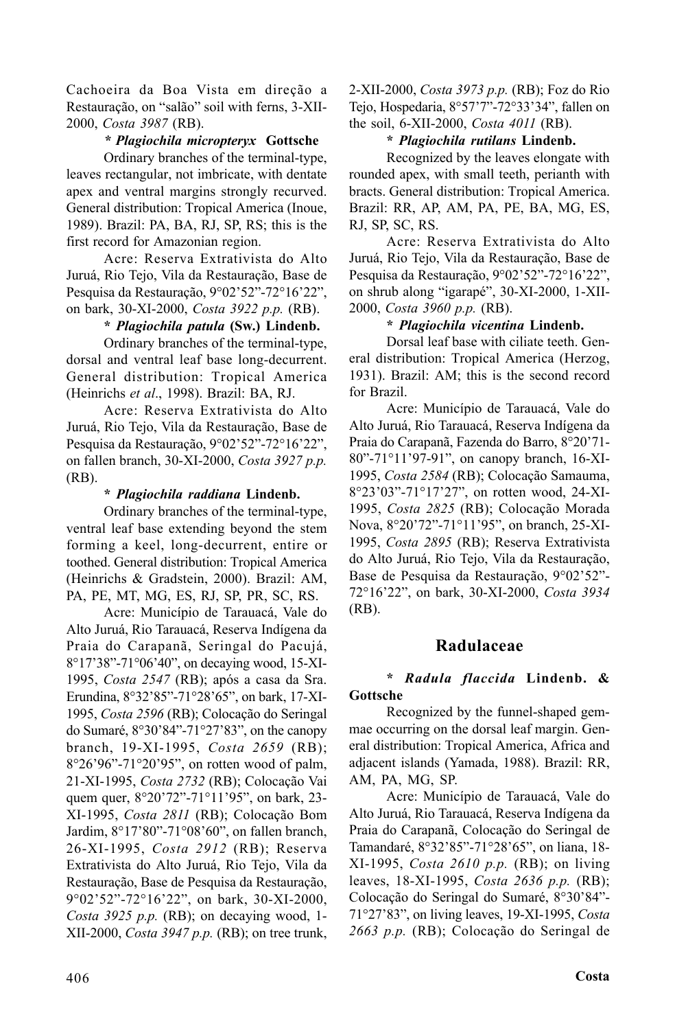Cachoeira da Boa Vista em direção a Restauração, on "salão" soil with ferns, 3-XII-2000, *Costa 3987* (RB).

### *\* Plagiochila micropteryx* **Gottsche**

Ordinary branches of the terminal-type, leaves rectangular, not imbricate, with dentate apex and ventral margins strongly recurved. General distribution: Tropical America (Inoue, 1989). Brazil: PA, BA, RJ, SP, RS; this is the first record for Amazonian region.

Acre: Reserva Extrativista do Alto Juruá, Rio Tejo, Vila da Restauração, Base de Pesquisa da Restauração, 9°02'52"-72°16'22", on bark, 30-XI-2000, *Costa 3922 p.p.* (RB).

#### **\*** *Plagiochila patula* **(Sw.) Lindenb.**

Ordinary branches of the terminal-type, dorsal and ventral leaf base long-decurrent. General distribution: Tropical America (Heinrichs *et al*., 1998). Brazil: BA, RJ.

Acre: Reserva Extrativista do Alto Juruá, Rio Tejo, Vila da Restauração, Base de Pesquisa da Restauração, 9°02'52"-72°16'22", on fallen branch, 30-XI-2000, *Costa 3927 p.p.* (RB).

### **\*** *Plagiochila raddiana* **Lindenb.**

Ordinary branches of the terminal-type, ventral leaf base extending beyond the stem forming a keel, long-decurrent, entire or toothed. General distribution: Tropical America (Heinrichs & Gradstein, 2000). Brazil: AM, PA, PE, MT, MG, ES, RJ, SP, PR, SC, RS.

Acre: Município de Tarauacá, Vale do Alto Juruá, Rio Tarauacá, Reserva Indígena da Praia do Carapanã, Seringal do Pacujá, 8°17'38"-71°06'40", on decaying wood, 15-XI-1995, *Costa 2547* (RB); após a casa da Sra. Erundina, 8°32'85"-71°28'65", on bark, 17-XI-1995, *Costa 2596* (RB); Colocação do Seringal do Sumaré, 8°30'84"-71°27'83", on the canopy branch, 19-XI-1995, *Costa 2659* (RB); 8°26'96"-71°20'95", on rotten wood of palm, 21-XI-1995, *Costa 2732* (RB); Colocação Vai quem quer, 8°20'72"-71°11'95", on bark, 23- XI-1995, *Costa 2811* (RB); Colocação Bom Jardim, 8°17'80"-71°08'60", on fallen branch, 26-XI-1995, *Costa 2912* (RB); Reserva Extrativista do Alto Juruá, Rio Tejo, Vila da Restauração, Base de Pesquisa da Restauração, 9°02'52"-72°16'22", on bark, 30-XI-2000, *Costa 3925 p.p.* (RB); on decaying wood, 1- XII-2000, *Costa 3947 p.p.* (RB); on tree trunk,

2-XII-2000, *Costa 3973 p.p.* (RB); Foz do Rio Tejo, Hospedaria, 8°57'7"-72°33'34", fallen on the soil, 6-XII-2000, *Costa 4011* (RB).

#### **\*** *Plagiochila rutilans* **Lindenb.**

Recognized by the leaves elongate with rounded apex, with small teeth, perianth with bracts. General distribution: Tropical America. Brazil: RR, AP, AM, PA, PE, BA, MG, ES, RJ, SP, SC, RS.

Acre: Reserva Extrativista do Alto Juruá, Rio Tejo, Vila da Restauração, Base de Pesquisa da Restauração, 9°02'52"-72°16'22", on shrub along "igarapé", 30-XI-2000, 1-XII-2000, *Costa 3960 p.p.* (RB).

### **\*** *Plagiochila vicentina* **Lindenb.**

Dorsal leaf base with ciliate teeth. General distribution: Tropical America (Herzog, 1931). Brazil: AM; this is the second record for Brazil.

Acre: Município de Tarauacá, Vale do Alto Juruá, Rio Tarauacá, Reserva Indígena da Praia do Carapanã, Fazenda do Barro, 8°20'71- 80"-71°11'97-91", on canopy branch, 16-XI-1995, *Costa 2584* (RB); Colocação Samauma, 8°23'03"-71°17'27", on rotten wood, 24-XI-1995, *Costa 2825* (RB); Colocação Morada Nova, 8°20'72"-71°11'95", on branch, 25-XI-1995, *Costa 2895* (RB); Reserva Extrativista do Alto Juruá, Rio Tejo, Vila da Restauração, Base de Pesquisa da Restauração, 9°02'52"- 72°16'22", on bark, 30-XI-2000, *Costa 3934* (RB).

### **Radulaceae**

#### **\*** *Radula flaccida* **Lindenb. & Gottsche**

Recognized by the funnel-shaped gemmae occurring on the dorsal leaf margin. General distribution: Tropical America, Africa and adjacent islands (Yamada, 1988). Brazil: RR, AM, PA, MG, SP.

Acre: Município de Tarauacá, Vale do Alto Juruá, Rio Tarauacá, Reserva Indígena da Praia do Carapanã, Colocação do Seringal de Tamandaré, 8°32'85"-71°28'65", on liana, 18- XI-1995, *Costa 2610 p.p.* (RB); on living leaves, 18-XI-1995, *Costa 2636 p.p.* (RB); Colocação do Seringal do Sumaré, 8°30'84"- 71°27'83", on living leaves, 19-XI-1995, *Costa 2663 p.p.* (RB); Colocação do Seringal de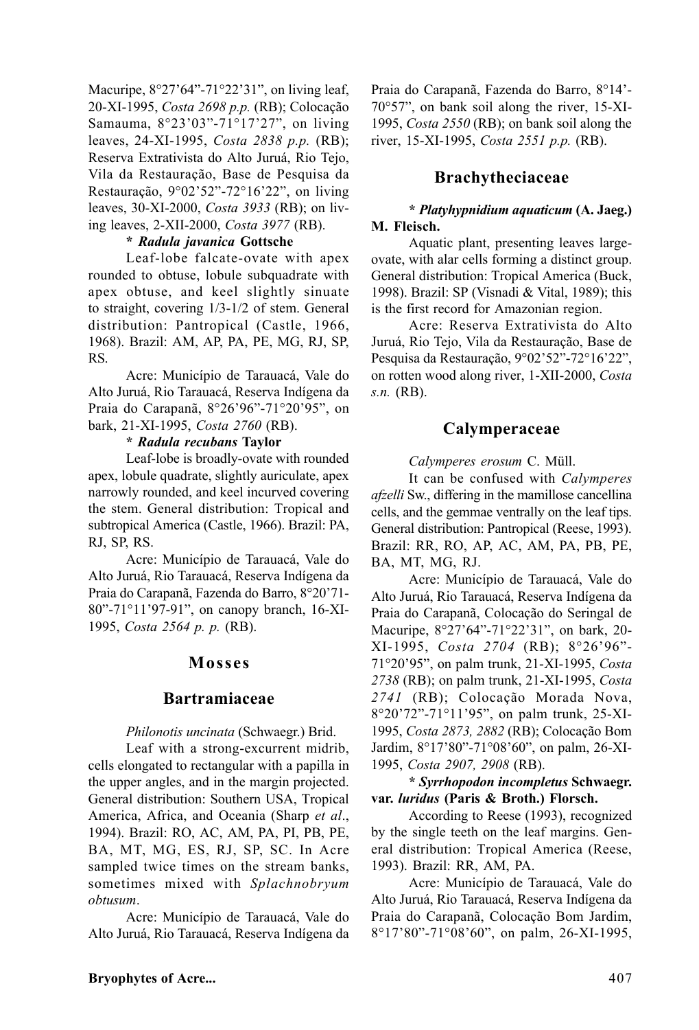Macuripe, 8°27'64"-71°22'31", on living leaf, 20-XI-1995, *Costa 2698 p.p.* (RB); Colocação Samauma, 8°23'03"-71°17'27", on living leaves, 24-XI-1995, *Costa 2838 p.p.* (RB); Reserva Extrativista do Alto Juruá, Rio Tejo, Vila da Restauração, Base de Pesquisa da Restauração, 9°02'52"-72°16'22", on living leaves, 30-XI-2000, *Costa 3933* (RB); on living leaves, 2-XII-2000, *Costa 3977* (RB).

### **\*** *Radula javanica* **Gottsche**

Leaf-lobe falcate-ovate with apex rounded to obtuse, lobule subquadrate with apex obtuse, and keel slightly sinuate to straight, covering 1/3-1/2 of stem. General distribution: Pantropical (Castle, 1966, 1968). Brazil: AM, AP, PA, PE, MG, RJ, SP, RS.

Acre: Município de Tarauacá, Vale do Alto Juruá, Rio Tarauacá, Reserva Indígena da Praia do Carapanã, 8°26'96"-71°20'95", on bark, 21-XI-1995, *Costa 2760* (RB).

#### **\*** *Radula recubans* **Taylor**

Leaf-lobe is broadly-ovate with rounded apex, lobule quadrate, slightly auriculate, apex narrowly rounded, and keel incurved covering the stem. General distribution: Tropical and subtropical America (Castle, 1966). Brazil: PA, RJ, SP, RS.

Acre: Município de Tarauacá, Vale do Alto Juruá, Rio Tarauacá, Reserva Indígena da Praia do Carapanã, Fazenda do Barro, 8°20'71- 80"-71°11'97-91", on canopy branch, 16-XI-1995, *Costa 2564 p. p.* (RB).

### **Mosses**

## **Bartramiaceae**

*Philonotis uncinata* (Schwaegr.) Brid.

Leaf with a strong-excurrent midrib, cells elongated to rectangular with a papilla in the upper angles, and in the margin projected. General distribution: Southern USA, Tropical America, Africa, and Oceania (Sharp *et al*., 1994). Brazil: RO, AC, AM, PA, PI, PB, PE, BA, MT, MG, ES, RJ, SP, SC. In Acre sampled twice times on the stream banks, sometimes mixed with *Splachnobryum obtusum*.

Acre: Município de Tarauacá, Vale do Alto Juruá, Rio Tarauacá, Reserva Indígena da Praia do Carapanã, Fazenda do Barro, 8°14'- 70°57", on bank soil along the river, 15-XI-1995, *Costa 2550* (RB); on bank soil along the river, 15-XI-1995, *Costa 2551 p.p.* (RB).

## **Brachytheciaceae**

### **\*** *Platyhypnidium aquaticum* **(A. Jaeg.) M. Fleisch.**

Aquatic plant, presenting leaves largeovate, with alar cells forming a distinct group. General distribution: Tropical America (Buck, 1998). Brazil: SP (Visnadi & Vital, 1989); this is the first record for Amazonian region.

Acre: Reserva Extrativista do Alto Juruá, Rio Tejo, Vila da Restauração, Base de Pesquisa da Restauração, 9°02'52"-72°16'22", on rotten wood along river, 1-XII-2000, *Costa s.n.* (RB).

## **Calymperaceae**

*Calymperes erosum* C. Müll.

It can be confused with *Calymperes afzelli* Sw., differing in the mamillose cancellina cells, and the gemmae ventrally on the leaf tips. General distribution: Pantropical (Reese, 1993). Brazil: RR, RO, AP, AC, AM, PA, PB, PE, BA, MT, MG, RJ.

Acre: Município de Tarauacá, Vale do Alto Juruá, Rio Tarauacá, Reserva Indígena da Praia do Carapanã, Colocação do Seringal de Macuripe, 8°27'64"-71°22'31", on bark, 20- XI-1995, *Costa 2704* (RB); 8°26'96"- 71°20'95", on palm trunk, 21-XI-1995, *Costa 2738* (RB); on palm trunk, 21-XI-1995, *Costa 2741* (RB); Colocação Morada Nova, 8°20'72"-71°11'95", on palm trunk, 25-XI-1995, *Costa 2873, 2882* (RB); Colocação Bom Jardim, 8°17'80"-71°08'60", on palm, 26-XI-1995, *Costa 2907, 2908* (RB).

### **\*** *Syrrhopodon incompletus* **Schwaegr. var.** *luridus* **(Paris & Broth.) Florsch.**

According to Reese (1993), recognized by the single teeth on the leaf margins. General distribution: Tropical America (Reese, 1993). Brazil: RR, AM, PA.

Acre: Município de Tarauacá, Vale do Alto Juruá, Rio Tarauacá, Reserva Indígena da Praia do Carapanã, Colocação Bom Jardim, 8°17'80"-71°08'60", on palm, 26-XI-1995,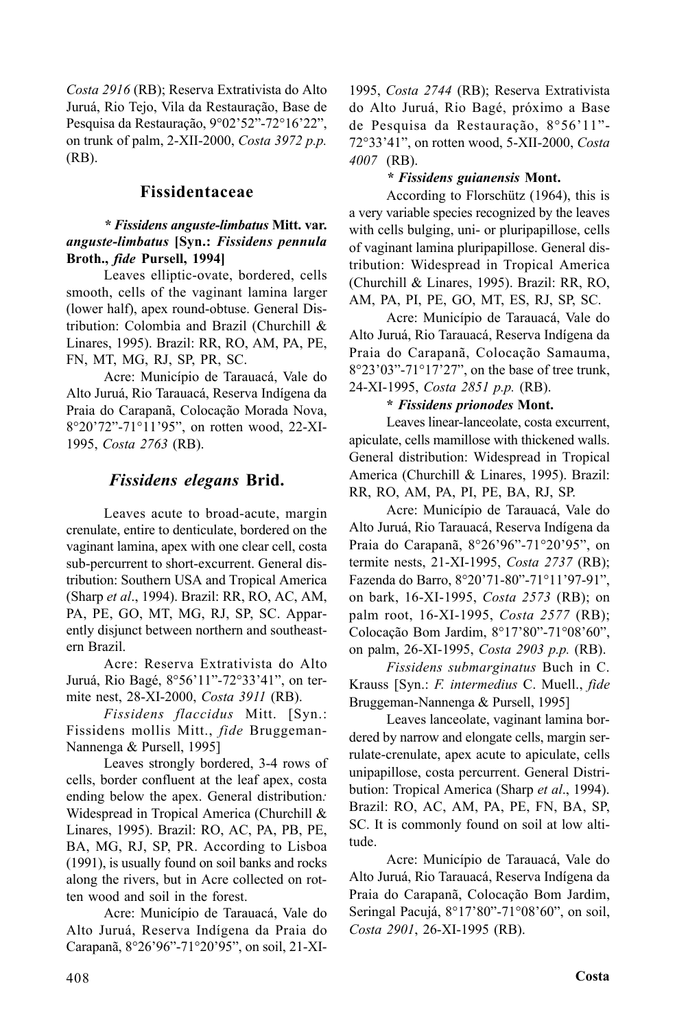*Costa 2916* (RB); Reserva Extrativista do Alto Juruá, Rio Tejo, Vila da Restauração, Base de Pesquisa da Restauração, 9°02'52"-72°16'22", on trunk of palm, 2-XII-2000, *Costa 3972 p.p.* (RB).

## **Fissidentaceae**

### *\* Fissidens anguste-limbatus* **Mitt. var.** *anguste-limbatus* **[Syn.:** *Fissidens pennula* **Broth.,** *fide* **Pursell, 1994]**

Leaves elliptic-ovate, bordered, cells smooth, cells of the vaginant lamina larger (lower half), apex round-obtuse. General Distribution: Colombia and Brazil (Churchill & Linares, 1995). Brazil: RR, RO, AM, PA, PE, FN, MT, MG, RJ, SP, PR, SC.

Acre: Município de Tarauacá, Vale do Alto Juruá, Rio Tarauacá, Reserva Indígena da Praia do Carapanã, Colocação Morada Nova, 8°20'72"-71°11'95", on rotten wood, 22-XI-1995, *Costa 2763* (RB).

## *Fissidens elegans* **Brid.**

Leaves acute to broad-acute, margin crenulate, entire to denticulate, bordered on the vaginant lamina, apex with one clear cell, costa sub-percurrent to short-excurrent. General distribution: Southern USA and Tropical America (Sharp *et al*., 1994). Brazil: RR, RO, AC, AM, PA, PE, GO, MT, MG, RJ, SP, SC. Apparently disjunct between northern and southeastern Brazil.

Acre: Reserva Extrativista do Alto Juruá, Rio Bagé, 8°56'11"-72°33'41", on termite nest, 28-XI-2000, *Costa 3911* (RB).

*Fissidens flaccidus* Mitt. [Syn.: Fissidens mollis Mitt., *fide* Bruggeman-Nannenga & Pursell, 1995]

Leaves strongly bordered, 3-4 rows of cells, border confluent at the leaf apex, costa ending below the apex. General distribution*:* Widespread in Tropical America (Churchill & Linares, 1995). Brazil: RO, AC, PA, PB, PE, BA, MG, RJ, SP, PR. According to Lisboa (1991), is usually found on soil banks and rocks along the rivers, but in Acre collected on rotten wood and soil in the forest.

Acre: Município de Tarauacá, Vale do Alto Juruá, Reserva Indígena da Praia do Carapanã, 8°26'96"-71°20'95", on soil, 21-XI- 1995, *Costa 2744* (RB); Reserva Extrativista do Alto Juruá, Rio Bagé, próximo a Base de Pesquisa da Restauração, 8°56'11"- 72°33'41", on rotten wood, 5-XII-2000, *Costa 4007* (RB).

## *\* Fissidens guianensis* **Mont.**

According to Florschütz (1964), this is a very variable species recognized by the leaves with cells bulging, uni- or pluripapillose, cells of vaginant lamina pluripapillose. General distribution: Widespread in Tropical America (Churchill & Linares, 1995). Brazil: RR, RO, AM, PA, PI, PE, GO, MT, ES, RJ, SP, SC.

Acre: Município de Tarauacá, Vale do Alto Juruá, Rio Tarauacá, Reserva Indígena da Praia do Carapanã, Colocação Samauma, 8°23'03"-71°17'27", on the base of tree trunk, 24-XI-1995, *Costa 2851 p.p.* (RB).

## **\*** *Fissidens prionodes* **Mont.**

Leaves linear-lanceolate, costa excurrent, apiculate, cells mamillose with thickened walls. General distribution: Widespread in Tropical America (Churchill & Linares, 1995). Brazil: RR, RO, AM, PA, PI, PE, BA, RJ, SP.

Acre: Município de Tarauacá, Vale do Alto Juruá, Rio Tarauacá, Reserva Indígena da Praia do Carapanã, 8°26'96"-71°20'95", on termite nests, 21-XI-1995, *Costa 2737* (RB); Fazenda do Barro, 8°20'71-80"-71°11'97-91", on bark, 16-XI-1995, *Costa 2573* (RB); on palm root, 16-XI-1995, *Costa 2577* (RB); Colocação Bom Jardim, 8°17'80"-71°08'60", on palm, 26-XI-1995, *Costa 2903 p.p.* (RB).

*Fissidens submarginatus* Buch in C. Krauss [Syn.: *F. intermedius* C. Muell., *fide* Bruggeman-Nannenga & Pursell, 1995]

Leaves lanceolate, vaginant lamina bordered by narrow and elongate cells, margin serrulate-crenulate, apex acute to apiculate, cells unipapillose, costa percurrent. General Distribution: Tropical America (Sharp *et al*., 1994). Brazil: RO, AC, AM, PA, PE, FN, BA, SP, SC. It is commonly found on soil at low altitude.

Acre: Município de Tarauacá, Vale do Alto Juruá, Rio Tarauacá, Reserva Indígena da Praia do Carapanã, Colocação Bom Jardim, Seringal Pacujá, 8°17'80"-71°08'60", on soil, *Costa 2901*, 26-XI-1995 (RB).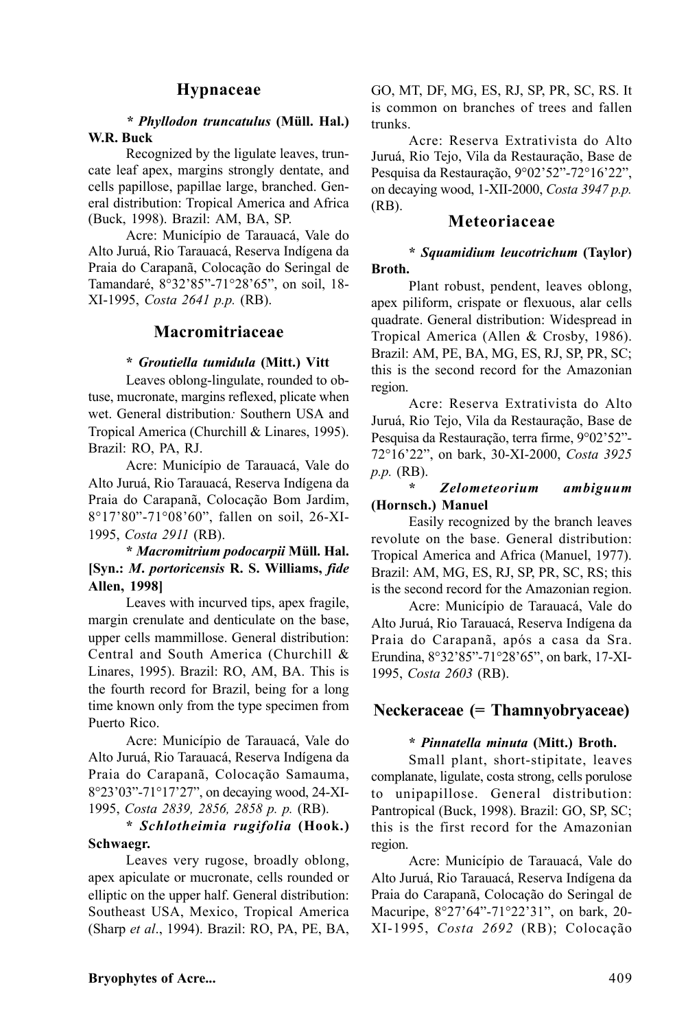## **Hypnaceae**

### *\* Phyllodon truncatulus* **(Müll. Hal.) W.R. Buck**

Recognized by the ligulate leaves, truncate leaf apex, margins strongly dentate, and cells papillose, papillae large, branched. General distribution: Tropical America and Africa (Buck, 1998). Brazil: AM, BA, SP.

Acre: Município de Tarauacá, Vale do Alto Juruá, Rio Tarauacá, Reserva Indígena da Praia do Carapanã, Colocação do Seringal de Tamandaré, 8°32'85"-71°28'65", on soil, 18- XI-1995, *Costa 2641 p.p.* (RB).

## **Macromitriaceae**

#### **\*** *Groutiella tumidula* **(Mitt.) Vitt**

Leaves oblong-lingulate, rounded to obtuse, mucronate, margins reflexed, plicate when wet. General distribution*:* Southern USA and Tropical America (Churchill & Linares, 1995). Brazil: RO, PA, RJ.

Acre: Município de Tarauacá, Vale do Alto Juruá, Rio Tarauacá, Reserva Indígena da Praia do Carapanã, Colocação Bom Jardim, 8°17'80"-71°08'60", fallen on soil, 26-XI-1995, *Costa 2911* (RB).

## **\*** *Macromitrium podocarpii* **Müll. Hal. [Syn.:** *M***.** *portoricensis* **R. S. Williams,** *fide* **Allen, 1998]**

Leaves with incurved tips, apex fragile, margin crenulate and denticulate on the base, upper cells mammillose. General distribution: Central and South America (Churchill & Linares, 1995). Brazil: RO, AM, BA. This is the fourth record for Brazil, being for a long time known only from the type specimen from Puerto Rico.

Acre: Município de Tarauacá, Vale do Alto Juruá, Rio Tarauacá, Reserva Indígena da Praia do Carapanã, Colocação Samauma, 8°23'03"-71°17'27", on decaying wood, 24-XI-1995, *Costa 2839, 2856, 2858 p. p.* (RB).

### **\*** *Schlotheimia rugifolia* **(Hook.) Schwaegr.**

Leaves very rugose, broadly oblong, apex apiculate or mucronate, cells rounded or elliptic on the upper half. General distribution: Southeast USA, Mexico, Tropical America (Sharp *et al*., 1994). Brazil: RO, PA, PE, BA, GO, MT, DF, MG, ES, RJ, SP, PR, SC, RS. It is common on branches of trees and fallen trunks.

Acre: Reserva Extrativista do Alto Juruá, Rio Tejo, Vila da Restauração, Base de Pesquisa da Restauração, 9°02'52"-72°16'22", on decaying wood, 1-XII-2000, *Costa 3947 p.p.* (RB).

## **Meteoriaceae**

### **\*** *Squamidium leucotrichum* **(Taylor) Broth.**

Plant robust, pendent, leaves oblong, apex piliform, crispate or flexuous, alar cells quadrate. General distribution: Widespread in Tropical America (Allen & Crosby, 1986). Brazil: AM, PE, BA, MG, ES, RJ, SP, PR, SC; this is the second record for the Amazonian region.

Acre: Reserva Extrativista do Alto Juruá, Rio Tejo, Vila da Restauração, Base de Pesquisa da Restauração, terra firme, 9°02'52"- 72°16'22", on bark, 30-XI-2000, *Costa 3925 p.p.* (RB).

### **\*** *Zelometeorium ambiguum* **(Hornsch.) Manuel**

Easily recognized by the branch leaves revolute on the base. General distribution: Tropical America and Africa (Manuel, 1977). Brazil: AM, MG, ES, RJ, SP, PR, SC, RS; this is the second record for the Amazonian region.

Acre: Município de Tarauacá, Vale do Alto Juruá, Rio Tarauacá, Reserva Indígena da Praia do Carapanã, após a casa da Sra. Erundina, 8°32'85"-71°28'65", on bark, 17-XI-1995, *Costa 2603* (RB).

## **Neckeraceae (= Thamnyobryaceae)**

### **\*** *Pinnatella minuta* **(Mitt.) Broth.**

Small plant, short-stipitate, leaves complanate, ligulate, costa strong, cells porulose to unipapillose. General distribution: Pantropical (Buck, 1998). Brazil: GO, SP, SC; this is the first record for the Amazonian region.

Acre: Município de Tarauacá, Vale do Alto Juruá, Rio Tarauacá, Reserva Indígena da Praia do Carapanã, Colocação do Seringal de Macuripe, 8°27'64"-71°22'31", on bark, 20- XI-1995, *Costa 2692* (RB); Colocação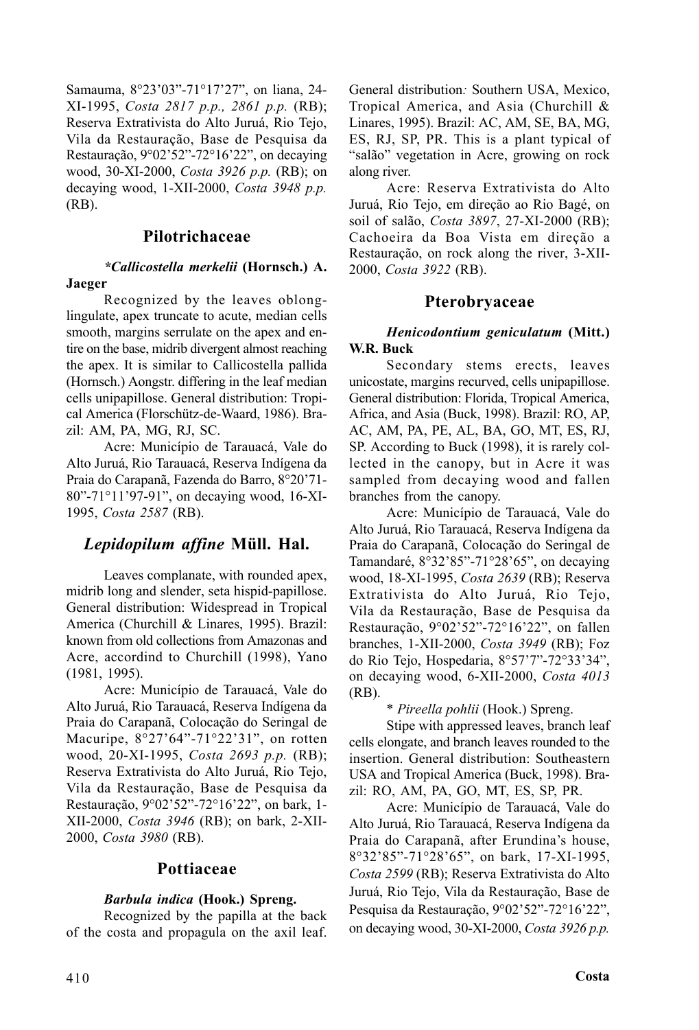Samauma, 8°23'03"-71°17'27", on liana, 24- XI-1995, *Costa 2817 p.p., 2861 p.p.* (RB); Reserva Extrativista do Alto Juruá, Rio Tejo, Vila da Restauração, Base de Pesquisa da Restauração, 9°02'52"-72°16'22", on decaying wood, 30-XI-2000, *Costa 3926 p.p.* (RB); on decaying wood, 1-XII-2000, *Costa 3948 p.p.* (RB).

## **Pilotrichaceae**

### *\*Callicostella merkelii* **(Hornsch.) A. Jaeger**

Recognized by the leaves oblonglingulate, apex truncate to acute, median cells smooth, margins serrulate on the apex and entire on the base, midrib divergent almost reaching the apex. It is similar to Callicostella pallida (Hornsch.) Aongstr. differing in the leaf median cells unipapillose. General distribution: Tropical America (Florschütz-de-Waard, 1986). Brazil: AM, PA, MG, RJ, SC.

Acre: Município de Tarauacá, Vale do Alto Juruá, Rio Tarauacá, Reserva Indígena da Praia do Carapanã, Fazenda do Barro, 8°20'71- 80"-71°11'97-91", on decaying wood, 16-XI-1995, *Costa 2587* (RB).

## *Lepidopilum affine* **Müll. Hal.**

Leaves complanate, with rounded apex, midrib long and slender, seta hispid-papillose. General distribution: Widespread in Tropical America (Churchill & Linares, 1995). Brazil: known from old collections from Amazonas and Acre, accordind to Churchill (1998), Yano (1981, 1995).

Acre: Município de Tarauacá, Vale do Alto Juruá, Rio Tarauacá, Reserva Indígena da Praia do Carapanã, Colocação do Seringal de Macuripe, 8°27'64"-71°22'31", on rotten wood, 20-XI-1995, *Costa 2693 p.p.* (RB); Reserva Extrativista do Alto Juruá, Rio Tejo, Vila da Restauração, Base de Pesquisa da Restauração, 9°02'52"-72°16'22", on bark, 1- XII-2000, *Costa 3946* (RB); on bark, 2-XII-2000, *Costa 3980* (RB).

## **Pottiaceae**

## *Barbula indica* **(Hook.) Spreng.**

Recognized by the papilla at the back of the costa and propagula on the axil leaf. General distribution*:* Southern USA, Mexico, Tropical America, and Asia (Churchill & Linares, 1995). Brazil: AC, AM, SE, BA, MG, ES, RJ, SP, PR. This is a plant typical of "salão" vegetation in Acre, growing on rock along river.

Acre: Reserva Extrativista do Alto Juruá, Rio Tejo, em direção ao Rio Bagé, on soil of salão, *Costa 3897*, 27-XI-2000 (RB); Cachoeira da Boa Vista em direção a Restauração, on rock along the river, 3-XII-2000, *Costa 3922* (RB).

## **Pterobryaceae**

### *Henicodontium geniculatum* **(Mitt.) W.R. Buck**

Secondary stems erects, leaves unicostate, margins recurved, cells unipapillose. General distribution: Florida, Tropical America, Africa, and Asia (Buck, 1998). Brazil: RO, AP, AC, AM, PA, PE, AL, BA, GO, MT, ES, RJ, SP. According to Buck (1998), it is rarely collected in the canopy, but in Acre it was sampled from decaying wood and fallen branches from the canopy.

Acre: Município de Tarauacá, Vale do Alto Juruá, Rio Tarauacá, Reserva Indígena da Praia do Carapanã, Colocação do Seringal de Tamandaré, 8°32'85"-71°28'65", on decaying wood, 18-XI-1995, *Costa 2639* (RB); Reserva Extrativista do Alto Juruá, Rio Tejo, Vila da Restauração, Base de Pesquisa da Restauração, 9°02'52"-72°16'22", on fallen branches, 1-XII-2000, *Costa 3949* (RB); Foz do Rio Tejo, Hospedaria, 8°57'7"-72°33'34", on decaying wood, 6-XII-2000, *Costa 4013* (RB).

\* *Pireella pohlii* (Hook.) Spreng.

Stipe with appressed leaves, branch leaf cells elongate, and branch leaves rounded to the insertion. General distribution: Southeastern USA and Tropical America (Buck, 1998). Brazil: RO, AM, PA, GO, MT, ES, SP, PR.

Acre: Município de Tarauacá, Vale do Alto Juruá, Rio Tarauacá, Reserva Indígena da Praia do Carapanã, after Erundina's house, 8°32'85"-71°28'65", on bark, 17-XI-1995, *Costa 2599* (RB); Reserva Extrativista do Alto Juruá, Rio Tejo, Vila da Restauração, Base de Pesquisa da Restauração, 9°02'52"-72°16'22", on decaying wood, 30-XI-2000, *Costa 3926 p.p.*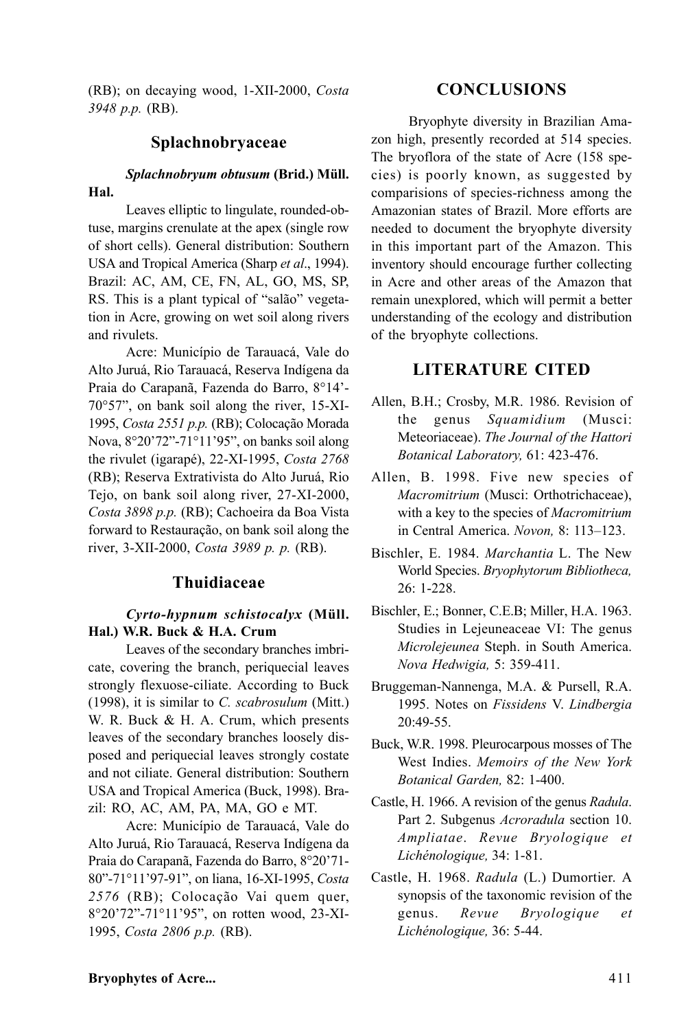(RB); on decaying wood, 1-XII-2000, *Costa 3948 p.p.* (RB).

## **Splachnobryaceae**

### *Splachnobryum obtusum* **(Brid.) Müll. Hal.**

Leaves elliptic to lingulate, rounded-obtuse, margins crenulate at the apex (single row of short cells). General distribution: Southern USA and Tropical America (Sharp *et al*., 1994). Brazil: AC, AM, CE, FN, AL, GO, MS, SP, RS. This is a plant typical of "salão" vegetation in Acre, growing on wet soil along rivers and rivulets.

Acre: Município de Tarauacá, Vale do Alto Juruá, Rio Tarauacá, Reserva Indígena da Praia do Carapanã, Fazenda do Barro, 8°14'- 70°57", on bank soil along the river, 15-XI-1995, *Costa 2551 p.p.* (RB); Colocação Morada Nova, 8°20'72"-71°11'95", on banks soil along the rivulet (igarapé), 22-XI-1995, *Costa 2768* (RB); Reserva Extrativista do Alto Juruá, Rio Tejo, on bank soil along river, 27-XI-2000, *Costa 3898 p.p.* (RB); Cachoeira da Boa Vista forward to Restauração, on bank soil along the river, 3-XII-2000, *Costa 3989 p. p.* (RB).

## **Thuidiaceae**

### *Cyrto-hypnum schistocalyx* **(Müll. Hal.) W.R. Buck & H.A. Crum**

Leaves of the secondary branches imbricate, covering the branch, periquecial leaves strongly flexuose-ciliate. According to Buck (1998), it is similar to *C. scabrosulum* (Mitt.) W. R. Buck & H. A. Crum, which presents leaves of the secondary branches loosely disposed and periquecial leaves strongly costate and not ciliate. General distribution: Southern USA and Tropical America (Buck, 1998). Brazil: RO, AC, AM, PA, MA, GO e MT.

Acre: Município de Tarauacá, Vale do Alto Juruá, Rio Tarauacá, Reserva Indígena da Praia do Carapanã, Fazenda do Barro, 8°20'71- 80"-71°11'97-91", on liana, 16-XI-1995, *Costa 2576* (RB); Colocação Vai quem quer, 8°20'72"-71°11'95", on rotten wood, 23-XI-1995, *Costa 2806 p.p.* (RB).

## **CONCLUSIONS**

Bryophyte diversity in Brazilian Amazon high, presently recorded at 514 species. The bryoflora of the state of Acre (158 species) is poorly known, as suggested by comparisions of species-richness among the Amazonian states of Brazil. More efforts are needed to document the bryophyte diversity in this important part of the Amazon. This inventory should encourage further collecting in Acre and other areas of the Amazon that remain unexplored, which will permit a better understanding of the ecology and distribution of the bryophyte collections.

## **LITERATURE CITED**

- Allen, B.H.; Crosby, M.R. 1986. Revision of the genus *Squamidium* (Musci: Meteoriaceae). *The Journal of the Hattori Botanical Laboratory,* 61: 423-476.
- Allen, B. 1998. Five new species of *Macromitrium* (Musci: Orthotrichaceae), with a key to the species of *Macromitrium* in Central America. *Novon,* 8: 113–123.
- Bischler, E. 1984. *Marchantia* L. The New World Species. *Bryophytorum Bibliotheca,* 26: 1-228.
- Bischler, E.; Bonner, C.E.B; Miller, H.A. 1963. Studies in Lejeuneaceae VI: The genus *Microlejeunea* Steph. in South America. *Nova Hedwigia,* 5: 359-411.
- Bruggeman-Nannenga, M.A. & Pursell, R.A. 1995. Notes on *Fissidens* V. *Lindbergia* 20:49-55.
- Buck, W.R. 1998. Pleurocarpous mosses of The West Indies. *Memoirs of the New York Botanical Garden,* 82: 1-400.
- Castle, H. 1966. A revision of the genus *Radula*. Part 2. Subgenus *Acroradula* section 10. *Ampliatae*. *Revue Bryologique et Lichénologique,* 34: 1-81.
- Castle, H. 1968. *Radula* (L.) Dumortier. A synopsis of the taxonomic revision of the genus. *Revue Bryologique et Lichénologique,* 36: 5-44.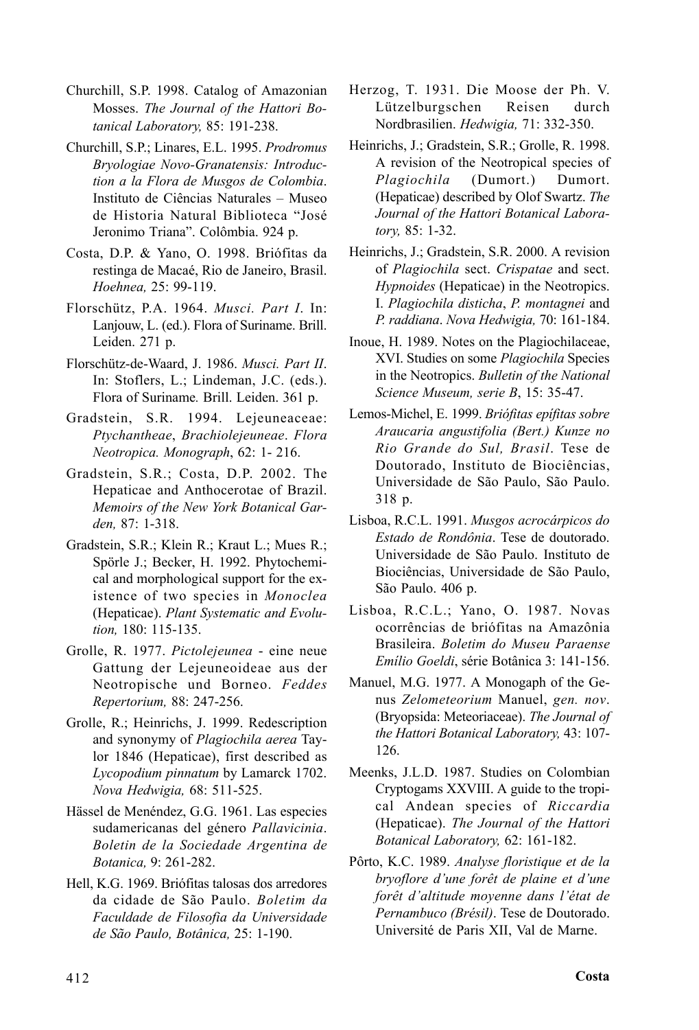- Churchill, S.P. 1998. Catalog of Amazonian Mosses. *The Journal of the Hattori Botanical Laboratory,* 85: 191-238.
- Churchill, S.P.; Linares, E.L. 1995. *Prodromus Bryologiae Novo-Granatensis: Introduction a la Flora de Musgos de Colombia*. Instituto de Ciências Naturales – Museo de Historia Natural Biblioteca "José Jeronimo Triana". Colômbia. 924 p.
- Costa, D.P. & Yano, O. 1998. Briófitas da restinga de Macaé, Rio de Janeiro, Brasil. *Hoehnea,* 25: 99-119.
- Florschütz, P.A. 1964. *Musci. Part I*. In: Lanjouw, L. (ed.). Flora of Suriname. Brill. Leiden. 271 p.
- Florschütz-de-Waard, J. 1986. *Musci. Part II*. In: Stoflers, L.; Lindeman, J.C. (eds.). Flora of Suriname*.* Brill. Leiden. 361 p.
- Gradstein, S.R. 1994. Lejeuneaceae: *Ptychantheae*, *Brachiolejeuneae*. *Flora Neotropica. Monograph*, 62: 1- 216.
- Gradstein, S.R.; Costa, D.P. 2002. The Hepaticae and Anthocerotae of Brazil. *Memoirs of the New York Botanical Garden,* 87: 1-318.
- Gradstein, S.R.; Klein R.; Kraut L.; Mues R.; Spörle J.; Becker, H. 1992. Phytochemical and morphological support for the existence of two species in *Monoclea* (Hepaticae). *Plant Systematic and Evolution,* 180: 115-135.
- Grolle, R. 1977. *Pictolejeunea* eine neue Gattung der Lejeuneoideae aus der Neotropische und Borneo. *Feddes Repertorium,* 88: 247-256.
- Grolle, R.; Heinrichs, J. 1999. Redescription and synonymy of *Plagiochila aerea* Taylor 1846 (Hepaticae), first described as *Lycopodium pinnatum* by Lamarck 1702. *Nova Hedwigia,* 68: 511-525.
- Hässel de Menéndez, G.G. 1961. Las especies sudamericanas del género *Pallavicinia*. *Boletin de la Sociedade Argentina de Botanica,* 9: 261-282.
- Hell, K.G. 1969. Briófitas talosas dos arredores da cidade de São Paulo. *Boletim da Faculdade de Filosofia da Universidade de São Paulo, Botânica,* 25: 1-190.
- Herzog, T. 1931. Die Moose der Ph. V. Lützelburgschen Reisen durch Nordbrasilien. *Hedwigia,* 71: 332-350.
- Heinrichs, J.; Gradstein, S.R.; Grolle, R. 1998. A revision of the Neotropical species of *Plagiochila* (Dumort.) Dumort. (Hepaticae) described by Olof Swartz. *The Journal of the Hattori Botanical Laboratory,* 85: 1-32.
- Heinrichs, J.; Gradstein, S.R. 2000. A revision of *Plagiochila* sect. *Crispatae* and sect. *Hypnoides* (Hepaticae) in the Neotropics. I. *Plagiochila disticha*, *P. montagnei* and *P. raddiana*. *Nova Hedwigia,* 70: 161-184.
- Inoue, H. 1989. Notes on the Plagiochilaceae, XVI. Studies on some *Plagiochila* Species in the Neotropics. *Bulletin of the National Science Museum, serie B*, 15: 35-47.
- Lemos-Michel, E. 1999. *Briófitas epífitas sobre Araucaria angustifolia (Bert.) Kunze no Rio Grande do Sul, Brasil*. Tese de Doutorado, Instituto de Biociências, Universidade de São Paulo, São Paulo. 318 p.
- Lisboa, R.C.L. 1991. *Musgos acrocárpicos do Estado de Rondônia*. Tese de doutorado. Universidade de São Paulo. Instituto de Biociências, Universidade de São Paulo, São Paulo. 406 p.
- Lisboa, R.C.L.; Yano, O. 1987. Novas ocorrências de briófitas na Amazônia Brasileira. *Boletim do Museu Paraense Emílio Goeldi*, série Botânica 3: 141-156.
- Manuel, M.G. 1977. A Monogaph of the Genus *Zelometeorium* Manuel, *gen. nov*. (Bryopsida: Meteoriaceae). *The Journal of the Hattori Botanical Laboratory,* 43: 107- 126.
- Meenks, J.L.D. 1987. Studies on Colombian Cryptogams XXVIII. A guide to the tropical Andean species of *Riccardia* (Hepaticae). *The Journal of the Hattori Botanical Laboratory,* 62: 161-182.
- Pôrto, K.C. 1989. *Analyse floristique et de la bryoflore d'une forêt de plaine et d'une forêt d'altitude moyenne dans l'état de Pernambuco (Brésil)*. Tese de Doutorado. Université de Paris XII, Val de Marne.